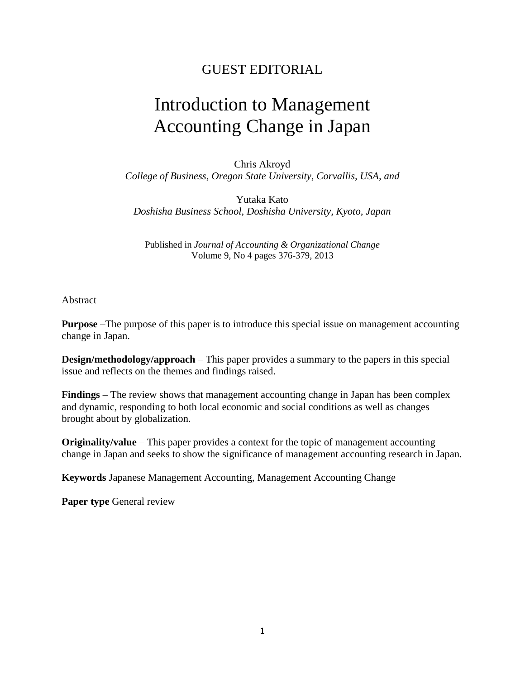# GUEST EDITORIAL

# Introduction to Management Accounting Change in Japan

Chris Akroyd *College of Business, Oregon State University, Corvallis, USA, and*

Yutaka Kato *Doshisha Business School, Doshisha University, Kyoto, Japan*

Published in *Journal of Accounting & Organizational Change* Volume 9, No 4 pages 376-379, 2013

Abstract

**Purpose** –The purpose of this paper is to introduce this special issue on management accounting change in Japan.

**Design/methodology/approach** – This paper provides a summary to the papers in this special issue and reflects on the themes and findings raised.

**Findings** – The review shows that management accounting change in Japan has been complex and dynamic, responding to both local economic and social conditions as well as changes brought about by globalization.

**Originality/value** – This paper provides a context for the topic of management accounting change in Japan and seeks to show the significance of management accounting research in Japan.

**Keywords** Japanese Management Accounting, Management Accounting Change

**Paper type** General review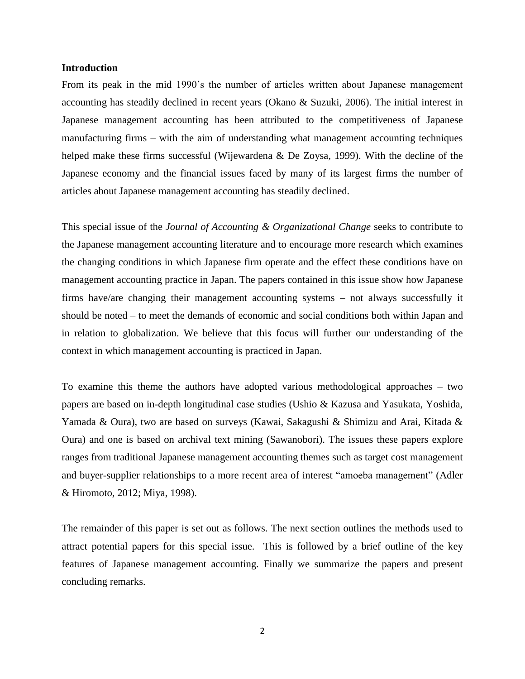#### **Introduction**

From its peak in the mid 1990's the number of articles written about Japanese management accounting has steadily declined in recent years (Okano & Suzuki, 2006). The initial interest in Japanese management accounting has been attributed to the competitiveness of Japanese manufacturing firms – with the aim of understanding what management accounting techniques helped make these firms successful (Wijewardena & De Zoysa, 1999). With the decline of the Japanese economy and the financial issues faced by many of its largest firms the number of articles about Japanese management accounting has steadily declined.

This special issue of the *Journal of Accounting & Organizational Change* seeks to contribute to the Japanese management accounting literature and to encourage more research which examines the changing conditions in which Japanese firm operate and the effect these conditions have on management accounting practice in Japan. The papers contained in this issue show how Japanese firms have/are changing their management accounting systems – not always successfully it should be noted – to meet the demands of economic and social conditions both within Japan and in relation to globalization. We believe that this focus will further our understanding of the context in which management accounting is practiced in Japan.

To examine this theme the authors have adopted various methodological approaches – two papers are based on in-depth longitudinal case studies (Ushio & Kazusa and Yasukata, Yoshida, Yamada & Oura), two are based on surveys (Kawai, Sakagushi & Shimizu and Arai, Kitada & Oura) and one is based on archival text mining (Sawanobori). The issues these papers explore ranges from traditional Japanese management accounting themes such as target cost management and buyer-supplier relationships to a more recent area of interest "amoeba management" (Adler & Hiromoto, 2012; Miya, 1998).

The remainder of this paper is set out as follows. The next section outlines the methods used to attract potential papers for this special issue. This is followed by a brief outline of the key features of Japanese management accounting. Finally we summarize the papers and present concluding remarks.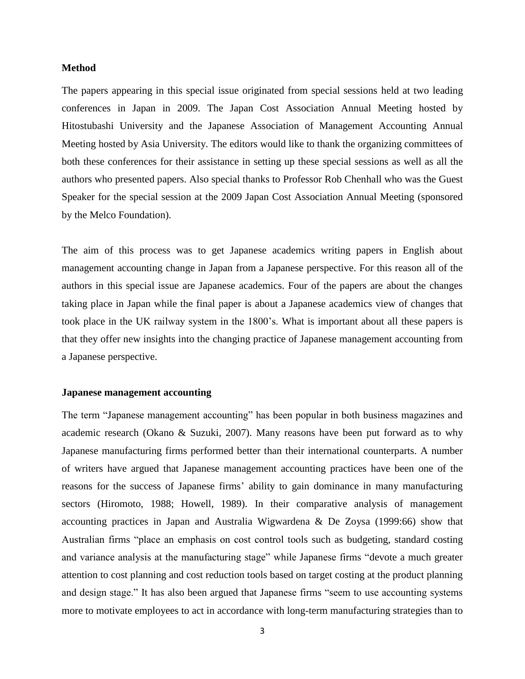#### **Method**

The papers appearing in this special issue originated from special sessions held at two leading conferences in Japan in 2009. The Japan Cost Association Annual Meeting hosted by Hitostubashi University and the Japanese Association of Management Accounting Annual Meeting hosted by Asia University. The editors would like to thank the organizing committees of both these conferences for their assistance in setting up these special sessions as well as all the authors who presented papers. Also special thanks to Professor Rob Chenhall who was the Guest Speaker for the special session at the 2009 Japan Cost Association Annual Meeting (sponsored by the Melco Foundation).

The aim of this process was to get Japanese academics writing papers in English about management accounting change in Japan from a Japanese perspective. For this reason all of the authors in this special issue are Japanese academics. Four of the papers are about the changes taking place in Japan while the final paper is about a Japanese academics view of changes that took place in the UK railway system in the 1800's. What is important about all these papers is that they offer new insights into the changing practice of Japanese management accounting from a Japanese perspective.

#### **Japanese management accounting**

The term "Japanese management accounting" has been popular in both business magazines and academic research (Okano & Suzuki, 2007). Many reasons have been put forward as to why Japanese manufacturing firms performed better than their international counterparts. A number of writers have argued that Japanese management accounting practices have been one of the reasons for the success of Japanese firms' ability to gain dominance in many manufacturing sectors (Hiromoto, 1988; Howell, 1989). In their comparative analysis of management accounting practices in Japan and Australia Wigwardena & De Zoysa (1999:66) show that Australian firms "place an emphasis on cost control tools such as budgeting, standard costing and variance analysis at the manufacturing stage" while Japanese firms "devote a much greater attention to cost planning and cost reduction tools based on target costing at the product planning and design stage." It has also been argued that Japanese firms "seem to use accounting systems more to motivate employees to act in accordance with long-term manufacturing strategies than to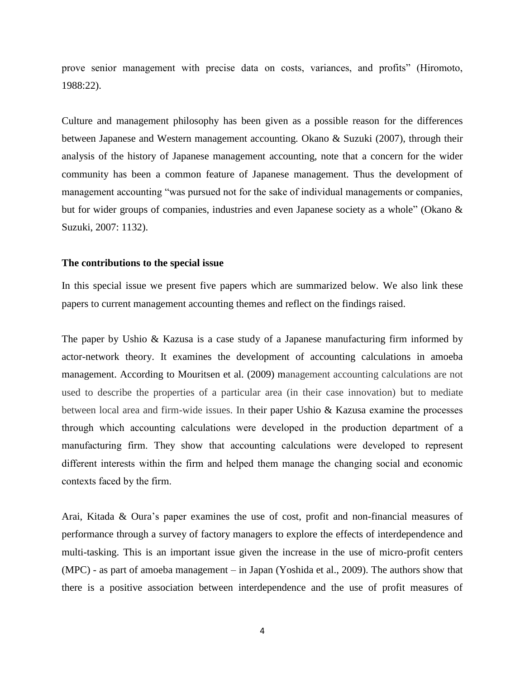prove senior management with precise data on costs, variances, and profits" (Hiromoto, 1988:22).

Culture and management philosophy has been given as a possible reason for the differences between Japanese and Western management accounting. Okano & Suzuki (2007), through their analysis of the history of Japanese management accounting, note that a concern for the wider community has been a common feature of Japanese management. Thus the development of management accounting "was pursued not for the sake of individual managements or companies, but for wider groups of companies, industries and even Japanese society as a whole" (Okano & Suzuki, 2007: 1132).

#### **The contributions to the special issue**

In this special issue we present five papers which are summarized below. We also link these papers to current management accounting themes and reflect on the findings raised.

The paper by Ushio & Kazusa is a case study of a Japanese manufacturing firm informed by actor-network theory. It examines the development of accounting calculations in amoeba management. According to Mouritsen et al. (2009) management accounting calculations are not used to describe the properties of a particular area (in their case innovation) but to mediate between local area and firm-wide issues. In their paper Ushio & Kazusa examine the processes through which accounting calculations were developed in the production department of a manufacturing firm. They show that accounting calculations were developed to represent different interests within the firm and helped them manage the changing social and economic contexts faced by the firm.

Arai, Kitada & Oura's paper examines the use of cost, profit and non-financial measures of performance through a survey of factory managers to explore the effects of interdependence and multi-tasking. This is an important issue given the increase in the use of micro-profit centers (MPC) - as part of amoeba management – in Japan (Yoshida et al., 2009). The authors show that there is a positive association between interdependence and the use of profit measures of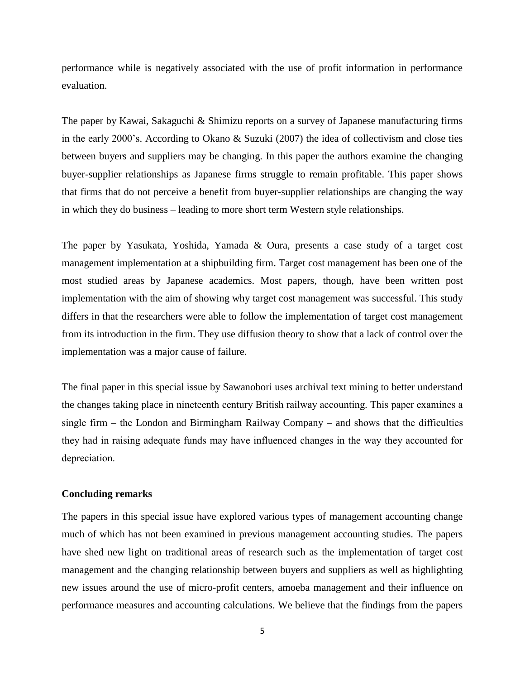performance while is negatively associated with the use of profit information in performance evaluation.

The paper by Kawai, Sakaguchi & Shimizu reports on a survey of Japanese manufacturing firms in the early 2000's. According to Okano & Suzuki (2007) the idea of collectivism and close ties between buyers and suppliers may be changing. In this paper the authors examine the changing buyer-supplier relationships as Japanese firms struggle to remain profitable. This paper shows that firms that do not perceive a benefit from buyer-supplier relationships are changing the way in which they do business – leading to more short term Western style relationships.

The paper by Yasukata, Yoshida, Yamada & Oura, presents a case study of a target cost management implementation at a shipbuilding firm. Target cost management has been one of the most studied areas by Japanese academics. Most papers, though, have been written post implementation with the aim of showing why target cost management was successful. This study differs in that the researchers were able to follow the implementation of target cost management from its introduction in the firm. They use diffusion theory to show that a lack of control over the implementation was a major cause of failure.

The final paper in this special issue by Sawanobori uses archival text mining to better understand the changes taking place in nineteenth century British railway accounting. This paper examines a single firm – the London and Birmingham Railway Company – and shows that the difficulties they had in raising adequate funds may have influenced changes in the way they accounted for depreciation.

#### **Concluding remarks**

The papers in this special issue have explored various types of management accounting change much of which has not been examined in previous management accounting studies. The papers have shed new light on traditional areas of research such as the implementation of target cost management and the changing relationship between buyers and suppliers as well as highlighting new issues around the use of micro-profit centers, amoeba management and their influence on performance measures and accounting calculations. We believe that the findings from the papers